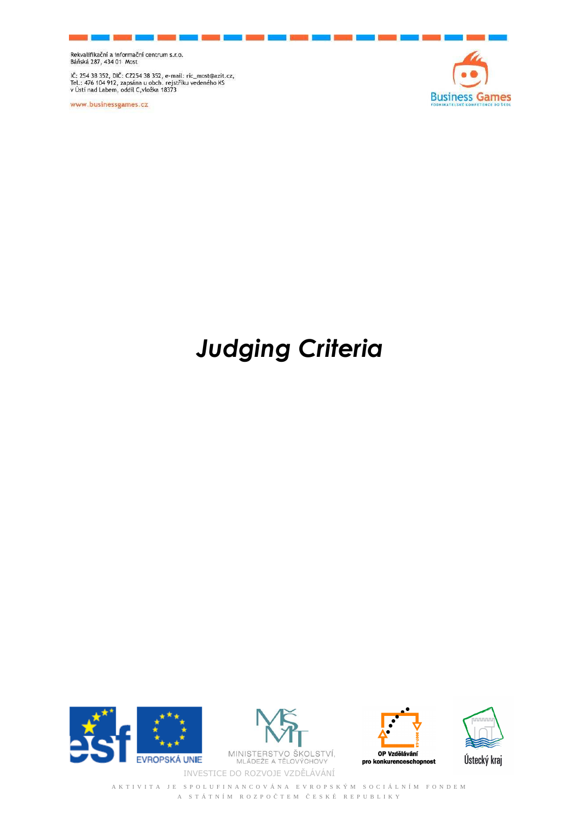Rekvalifikační a informační centrum s.r.o.<br>Báňská 287, 434 01 Most

IČ: 254 38 352, DIČ: CZ254 38 352, e-mail: ric\_most@azit.cz,<br>Tel.: 476 104 912, zapsána u obch. rejstříku vedeného KS<br>v Ústí nad Labem, oddíl C,vložka 18373

www.businessgames.cz



## *Judging Criteria*









A K T I V I T A J E S P O L U F I N A N C O V Á N A E V R O P S K Ý M S O C I Á L N Í M F O N D E M A S T Á T N Í M R O Z P O Č T E M Č E S K É R E P U B L I K Y